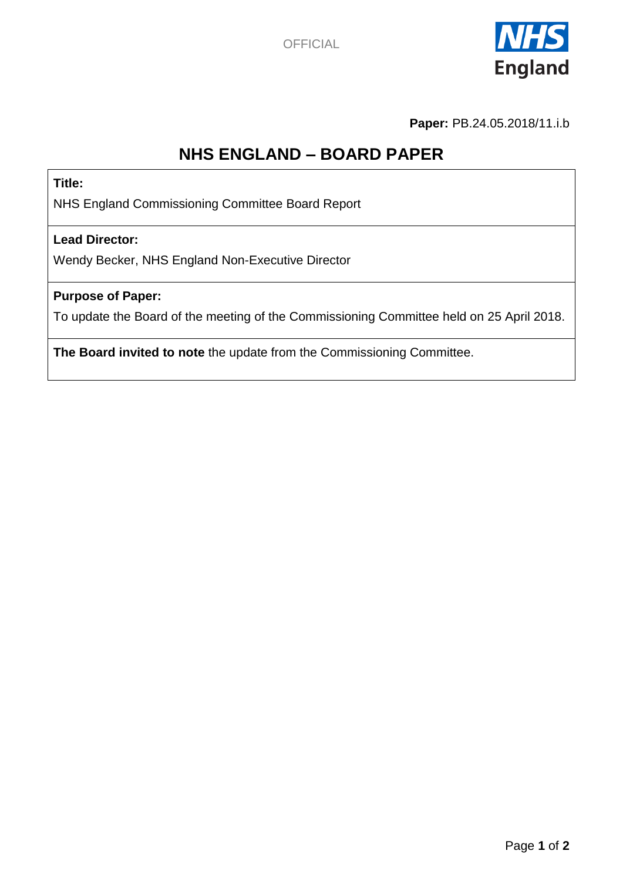

**Paper:** PB.24.05.2018/11.i.b

# **NHS ENGLAND – BOARD PAPER**

**Title:**

NHS England Commissioning Committee Board Report

#### **Lead Director:**

Wendy Becker, NHS England Non-Executive Director

#### **Purpose of Paper:**

To update the Board of the meeting of the Commissioning Committee held on 25 April 2018.

**The Board invited to note** the update from the Commissioning Committee.